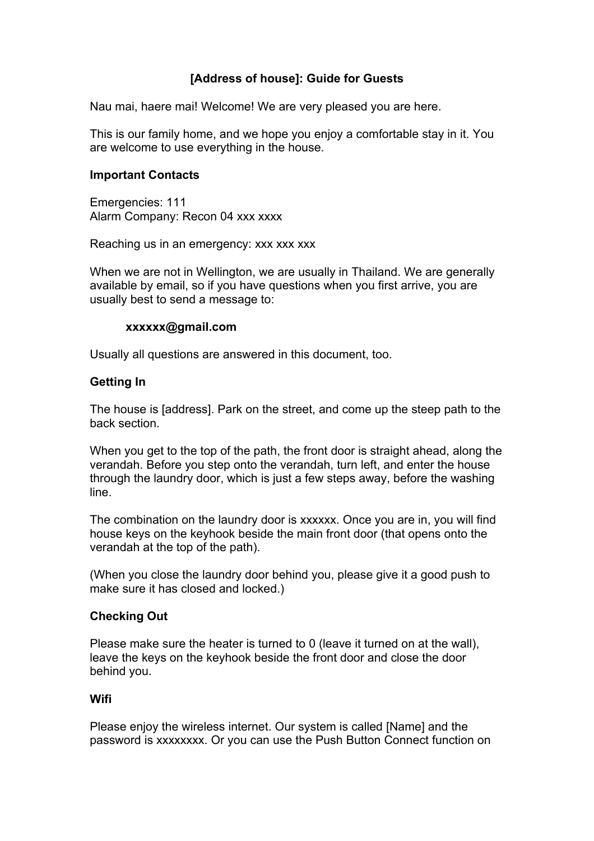# **[Address of house]: Guide for Guests**

Nau mai, haere mai! Welcome! We are very pleased you are here.

This is our family home, and we hope you enjoy a comfortable stay in it. You are welcome to use everything in the house.

#### **Important Contacts**

Emergencies: 111 Alarm Company: Recon 04 xxx xxxx

Reaching us in an emergency: xxx xxx xxx

When we are not in Wellington, we are usually in Thailand. We are generally available by email, so if you have questions when you first arrive, you are usually best to send a message to:

## **xxxxxx@gmail.com**

Usually all questions are answered in this document, too.

## **Getting In**

The house is [address]. Park on the street, and come up the steep path to the back section.

When you get to the top of the path, the front door is straight ahead, along the verandah. Before you step onto the verandah, turn left, and enter the house through the laundry door, which is just a few steps away, before the washing line.

The combination on the laundry door is xxxxxx. Once you are in, you will find house keys on the keyhook beside the main front door (that opens onto the verandah at the top of the path).

(When you close the laundry door behind you, please give it a good push to make sure it has closed and locked.)

## **Checking Out**

Please make sure the heater is turned to 0 (leave it turned on at the wall), leave the keys on the keyhook beside the front door and close the door behind you.

#### **Wifi**

Please enjoy the wireless internet. Our system is called [Name] and the password is xxxxxxxx. Or you can use the Push Button Connect function on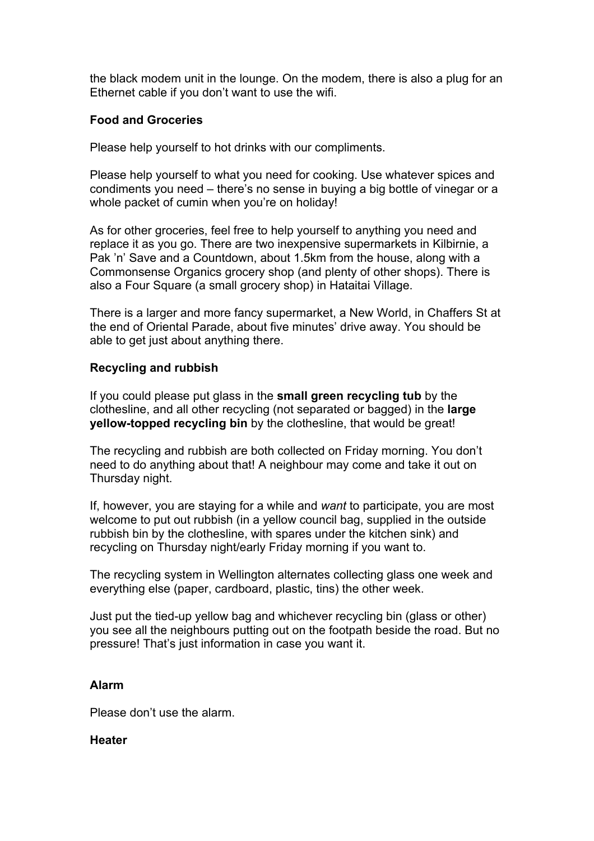the black modem unit in the lounge. On the modem, there is also a plug for an Ethernet cable if you don't want to use the wifi.

# **Food and Groceries**

Please help yourself to hot drinks with our compliments.

Please help yourself to what you need for cooking. Use whatever spices and condiments you need – there's no sense in buying a big bottle of vinegar or a whole packet of cumin when you're on holiday!

As for other groceries, feel free to help yourself to anything you need and replace it as you go. There are two inexpensive supermarkets in Kilbirnie, a Pak 'n' Save and a Countdown, about 1.5km from the house, along with a Commonsense Organics grocery shop (and plenty of other shops). There is also a Four Square (a small grocery shop) in Hataitai Village.

There is a larger and more fancy supermarket, a New World, in Chaffers St at the end of Oriental Parade, about five minutes' drive away. You should be able to get just about anything there.

# **Recycling and rubbish**

If you could please put glass in the **small green recycling tub** by the clothesline, and all other recycling (not separated or bagged) in the **large yellow-topped recycling bin** by the clothesline, that would be great!

The recycling and rubbish are both collected on Friday morning. You don't need to do anything about that! A neighbour may come and take it out on Thursday night.

If, however, you are staying for a while and *want* to participate, you are most welcome to put out rubbish (in a yellow council bag, supplied in the outside rubbish bin by the clothesline, with spares under the kitchen sink) and recycling on Thursday night/early Friday morning if you want to.

The recycling system in Wellington alternates collecting glass one week and everything else (paper, cardboard, plastic, tins) the other week.

Just put the tied-up yellow bag and whichever recycling bin (glass or other) you see all the neighbours putting out on the footpath beside the road. But no pressure! That's just information in case you want it.

## **Alarm**

Please don't use the alarm.

## **Heater**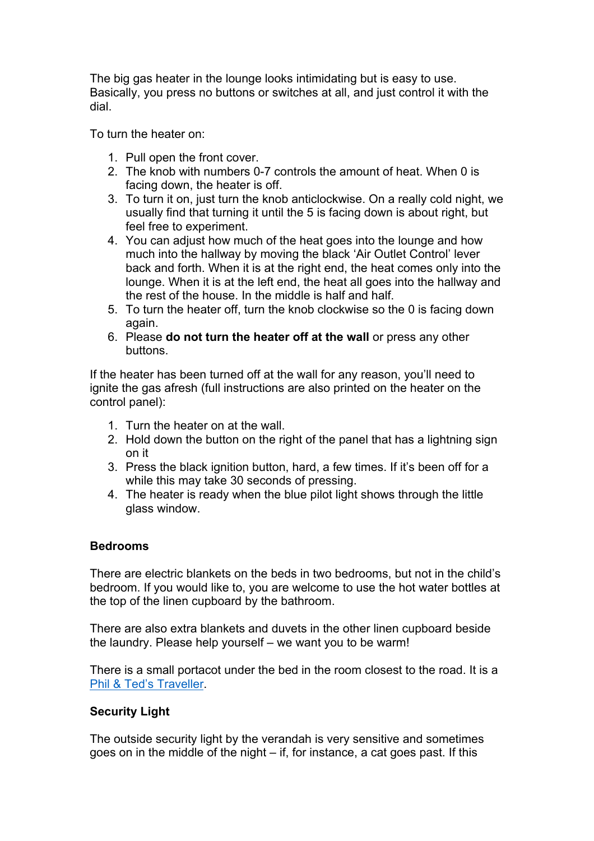The big gas heater in the lounge looks intimidating but is easy to use. Basically, you press no buttons or switches at all, and just control it with the dial.

To turn the heater on:

- 1. Pull open the front cover.
- 2. The knob with numbers 0-7 controls the amount of heat. When 0 is facing down, the heater is off.
- 3. To turn it on, just turn the knob anticlockwise. On a really cold night, we usually find that turning it until the 5 is facing down is about right, but feel free to experiment.
- 4. You can adjust how much of the heat goes into the lounge and how much into the hallway by moving the black 'Air Outlet Control' lever back and forth. When it is at the right end, the heat comes only into the lounge. When it is at the left end, the heat all goes into the hallway and the rest of the house. In the middle is half and half.
- 5. To turn the heater off, turn the knob clockwise so the 0 is facing down again.
- 6. Please **do not turn the heater off at the wall** or press any other buttons.

If the heater has been turned off at the wall for any reason, you'll need to ignite the gas afresh (full instructions are also printed on the heater on the control panel):

- 1. Turn the heater on at the wall.
- 2. Hold down the button on the right of the panel that has a lightning sign on it
- 3. Press the black ignition button, hard, a few times. If it's been off for a while this may take 30 seconds of pressing.
- 4. The heater is ready when the blue pilot light shows through the little glass window.

## **Bedrooms**

There are electric blankets on the beds in two bedrooms, but not in the child's bedroom. If you would like to, you are welcome to use the hot water bottles at the top of the linen cupboard by the bathroom.

There are also extra blankets and duvets in the other linen cupboard beside the laundry. Please help yourself – we want you to be warm!

There is a small portacot under the bed in the room closest to the road. It is a Phil & Ted's Traveller.

## **Security Light**

The outside security light by the verandah is very sensitive and sometimes goes on in the middle of the night – if, for instance, a cat goes past. If this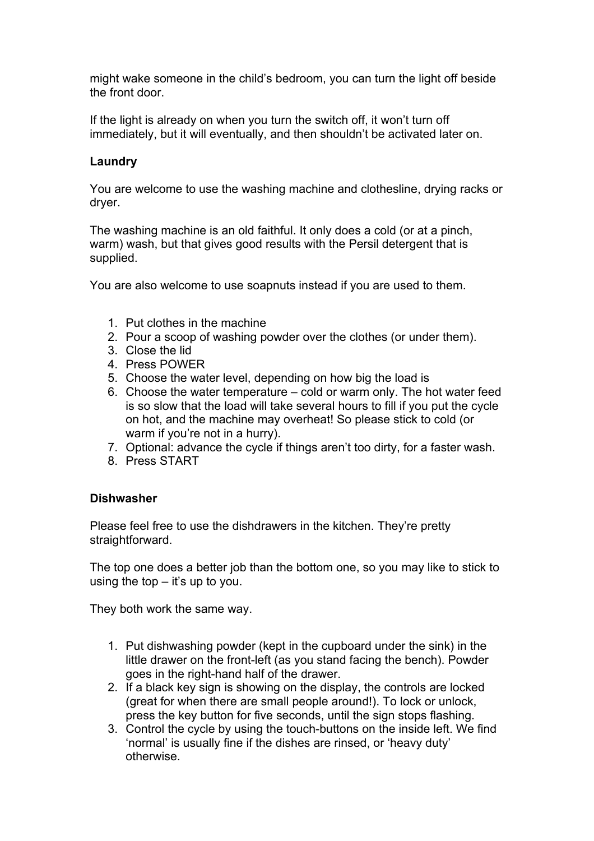might wake someone in the child's bedroom, you can turn the light off beside the front door.

If the light is already on when you turn the switch off, it won't turn off immediately, but it will eventually, and then shouldn't be activated later on.

# **Laundry**

You are welcome to use the washing machine and clothesline, drying racks or dryer.

The washing machine is an old faithful. It only does a cold (or at a pinch, warm) wash, but that gives good results with the Persil detergent that is supplied.

You are also welcome to use soapnuts instead if you are used to them.

- 1. Put clothes in the machine
- 2. Pour a scoop of washing powder over the clothes (or under them).
- 3. Close the lid
- 4. Press POWER
- 5. Choose the water level, depending on how big the load is
- 6. Choose the water temperature cold or warm only. The hot water feed is so slow that the load will take several hours to fill if you put the cycle on hot, and the machine may overheat! So please stick to cold (or warm if you're not in a hurry).
- 7. Optional: advance the cycle if things aren't too dirty, for a faster wash.
- 8. Press START

## **Dishwasher**

Please feel free to use the dishdrawers in the kitchen. They're pretty straightforward.

The top one does a better job than the bottom one, so you may like to stick to using the top  $-$  it's up to you.

They both work the same way.

- 1. Put dishwashing powder (kept in the cupboard under the sink) in the little drawer on the front-left (as you stand facing the bench). Powder goes in the right-hand half of the drawer.
- 2. If a black key sign is showing on the display, the controls are locked (great for when there are small people around!). To lock or unlock, press the key button for five seconds, until the sign stops flashing.
- 3. Control the cycle by using the touch-buttons on the inside left. We find 'normal' is usually fine if the dishes are rinsed, or 'heavy duty' otherwise.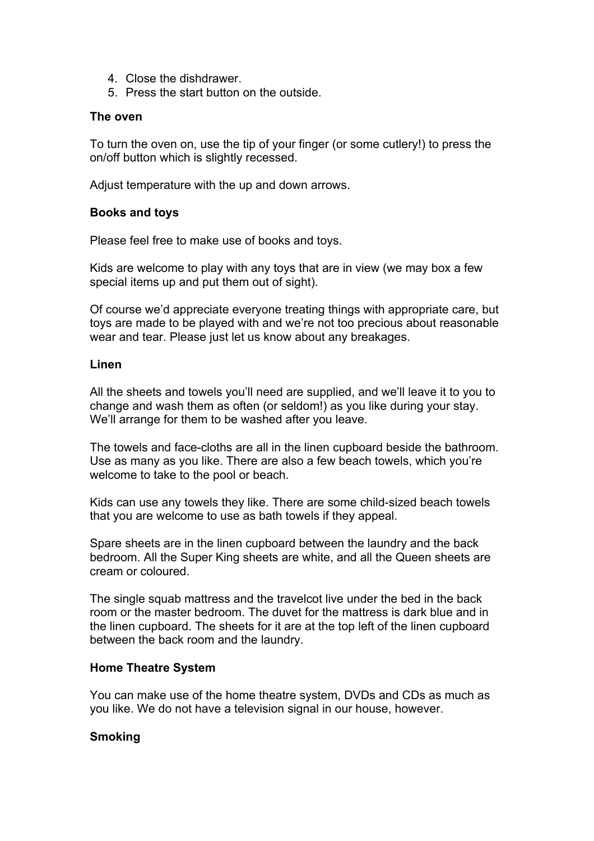- 4. Close the dishdrawer.
- 5. Press the start button on the outside.

#### **The oven**

To turn the oven on, use the tip of your finger (or some cutlery!) to press the on/off button which is slightly recessed.

Adjust temperature with the up and down arrows.

#### **Books and toys**

Please feel free to make use of books and toys.

Kids are welcome to play with any toys that are in view (we may box a few special items up and put them out of sight).

Of course we'd appreciate everyone treating things with appropriate care, but toys are made to be played with and we're not too precious about reasonable wear and tear. Please just let us know about any breakages.

#### **Linen**

All the sheets and towels you'll need are supplied, and we'll leave it to you to change and wash them as often (or seldom!) as you like during your stay. We'll arrange for them to be washed after you leave.

The towels and face-cloths are all in the linen cupboard beside the bathroom. Use as many as you like. There are also a few beach towels, which you're welcome to take to the pool or beach.

Kids can use any towels they like. There are some child-sized beach towels that you are welcome to use as bath towels if they appeal.

Spare sheets are in the linen cupboard between the laundry and the back bedroom. All the Super King sheets are white, and all the Queen sheets are cream or coloured.

The single squab mattress and the travelcot live under the bed in the back room or the master bedroom. The duvet for the mattress is dark blue and in the linen cupboard. The sheets for it are at the top left of the linen cupboard between the back room and the laundry.

## **Home Theatre System**

You can make use of the home theatre system, DVDs and CDs as much as you like. We do not have a television signal in our house, however.

#### **Smoking**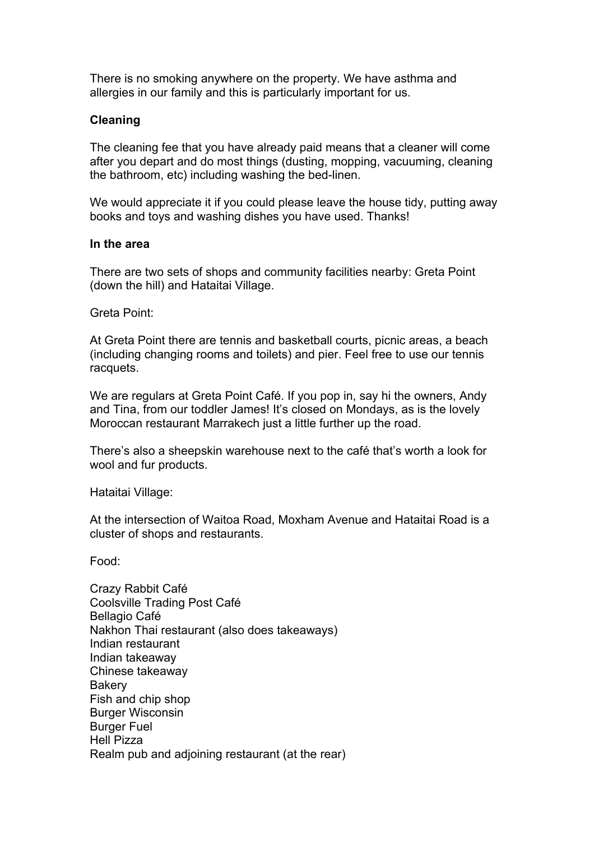There is no smoking anywhere on the property. We have asthma and allergies in our family and this is particularly important for us.

## **Cleaning**

The cleaning fee that you have already paid means that a cleaner will come after you depart and do most things (dusting, mopping, vacuuming, cleaning the bathroom, etc) including washing the bed-linen.

We would appreciate it if you could please leave the house tidy, putting away books and toys and washing dishes you have used. Thanks!

#### **In the area**

There are two sets of shops and community facilities nearby: Greta Point (down the hill) and Hataitai Village.

Greta Point:

At Greta Point there are tennis and basketball courts, picnic areas, a beach (including changing rooms and toilets) and pier. Feel free to use our tennis racquets.

We are regulars at Greta Point Café. If you pop in, say hi the owners, Andy and Tina, from our toddler James! It's closed on Mondays, as is the lovely Moroccan restaurant Marrakech just a little further up the road.

There's also a sheepskin warehouse next to the café that's worth a look for wool and fur products.

Hataitai Village:

At the intersection of Waitoa Road, Moxham Avenue and Hataitai Road is a cluster of shops and restaurants.

Food:

Crazy Rabbit Café Coolsville Trading Post Café Bellagio Café Nakhon Thai restaurant (also does takeaways) Indian restaurant Indian takeaway Chinese takeaway **Bakery** Fish and chip shop Burger Wisconsin Burger Fuel Hell Pizza Realm pub and adjoining restaurant (at the rear)